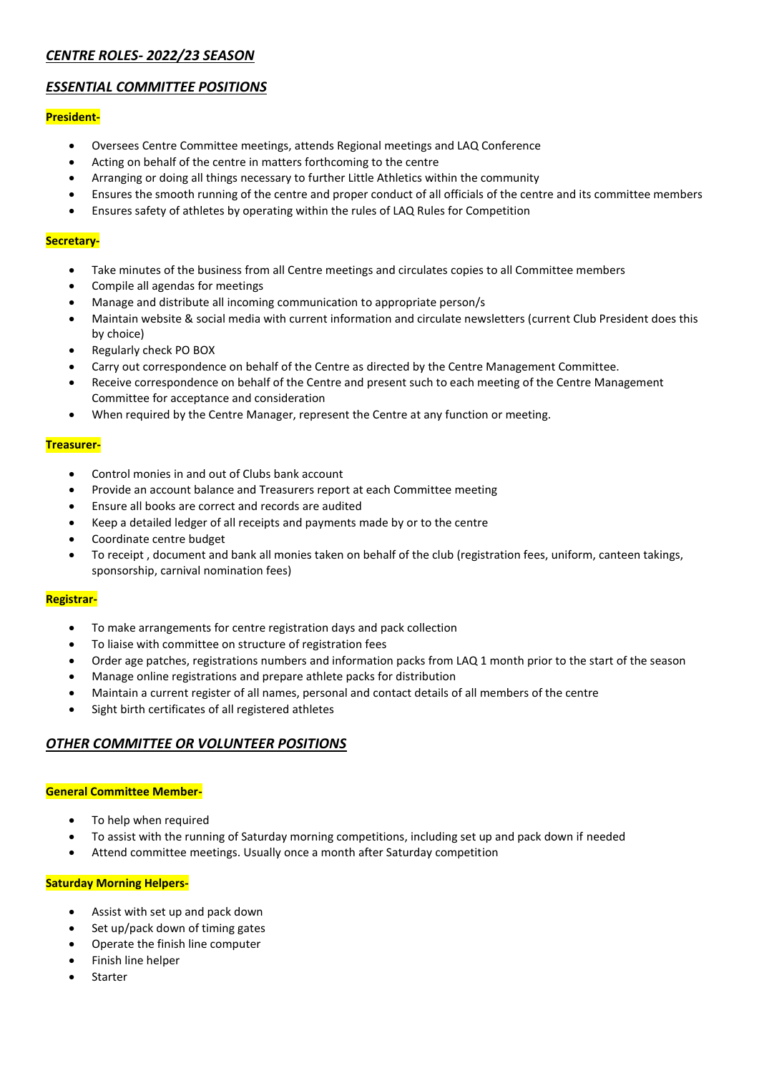# *CENTRE ROLES- 2022/23 SEASON*

# *ESSENTIAL COMMITTEE POSITIONS*

# **President-**

- Oversees Centre Committee meetings, attends Regional meetings and LAQ Conference
- Acting on behalf of the centre in matters forthcoming to the centre
- Arranging or doing all things necessary to further Little Athletics within the community
- Ensures the smooth running of the centre and proper conduct of all officials of the centre and its committee members
- Ensures safety of athletes by operating within the rules of LAQ Rules for Competition

# **Secretary-**

- Take minutes of the business from all Centre meetings and circulates copies to all Committee members
- Compile all agendas for meetings
- Manage and distribute all incoming communication to appropriate person/s
- Maintain website & social media with current information and circulate newsletters (current Club President does this by choice)
- Regularly check PO BOX
- Carry out correspondence on behalf of the Centre as directed by the Centre Management Committee.
- Receive correspondence on behalf of the Centre and present such to each meeting of the Centre Management Committee for acceptance and consideration
- When required by the Centre Manager, represent the Centre at any function or meeting.

## **Treasurer-**

- Control monies in and out of Clubs bank account
- Provide an account balance and Treasurers report at each Committee meeting
- Ensure all books are correct and records are audited
- Keep a detailed ledger of all receipts and payments made by or to the centre
- Coordinate centre budget
- To receipt , document and bank all monies taken on behalf of the club (registration fees, uniform, canteen takings, sponsorship, carnival nomination fees)

## **Registrar-**

- To make arrangements for centre registration days and pack collection
- To liaise with committee on structure of registration fees
- Order age patches, registrations numbers and information packs from LAQ 1 month prior to the start of the season
- Manage online registrations and prepare athlete packs for distribution
- Maintain a current register of all names, personal and contact details of all members of the centre
- Sight birth certificates of all registered athletes

# *OTHER COMMITTEE OR VOLUNTEER POSITIONS*

## **General Committee Member-**

- To help when required
- To assist with the running of Saturday morning competitions, including set up and pack down if needed
- Attend committee meetings. Usually once a month after Saturday competition

## **Saturday Morning Helpers-**

- Assist with set up and pack down
- Set up/pack down of timing gates
- Operate the finish line computer
- Finish line helper
- **Starter**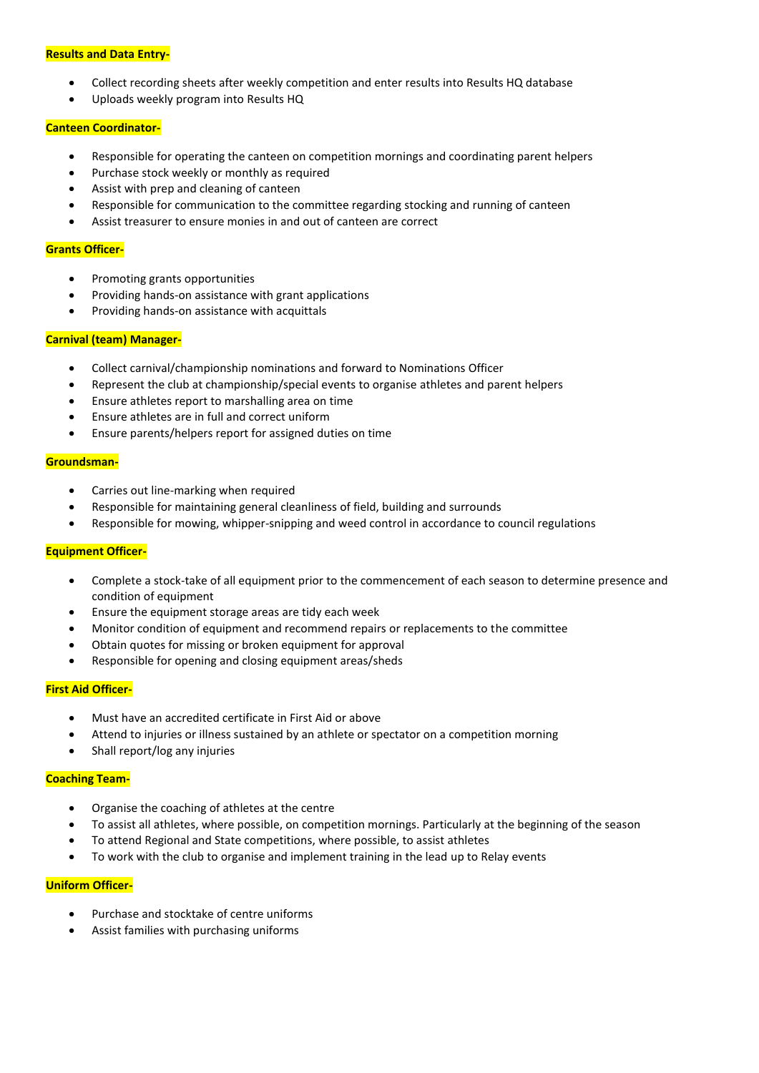#### **Results and Data Entry-**

- Collect recording sheets after weekly competition and enter results into Results HQ database
- Uploads weekly program into Results HQ

#### **Canteen Coordinator-**

- Responsible for operating the canteen on competition mornings and coordinating parent helpers
- Purchase stock weekly or monthly as required
- Assist with prep and cleaning of canteen
- Responsible for communication to the committee regarding stocking and running of canteen
- Assist treasurer to ensure monies in and out of canteen are correct

#### **Grants Officer-**

- Promoting grants opportunities
- Providing hands-on assistance with grant applications
- Providing hands-on assistance with acquittals

#### **Carnival (team) Manager-**

- Collect carnival/championship nominations and forward to Nominations Officer
- Represent the club at championship/special events to organise athletes and parent helpers
- Ensure athletes report to marshalling area on time
- Ensure athletes are in full and correct uniform
- Ensure parents/helpers report for assigned duties on time

#### **Groundsman-**

- Carries out line-marking when required
- Responsible for maintaining general cleanliness of field, building and surrounds
- Responsible for mowing, whipper-snipping and weed control in accordance to council regulations

#### **Equipment Officer-**

- Complete a stock-take of all equipment prior to the commencement of each season to determine presence and condition of equipment
- Ensure the equipment storage areas are tidy each week
- Monitor condition of equipment and recommend repairs or replacements to the committee
- Obtain quotes for missing or broken equipment for approval
- Responsible for opening and closing equipment areas/sheds

## **First Aid Officer-**

- Must have an accredited certificate in First Aid or above
- Attend to injuries or illness sustained by an athlete or spectator on a competition morning
- Shall report/log any injuries

## **Coaching Team-**

- Organise the coaching of athletes at the centre
- To assist all athletes, where possible, on competition mornings. Particularly at the beginning of the season
- To attend Regional and State competitions, where possible, to assist athletes
- To work with the club to organise and implement training in the lead up to Relay events

## **Uniform Officer-**

- Purchase and stocktake of centre uniforms
- Assist families with purchasing uniforms